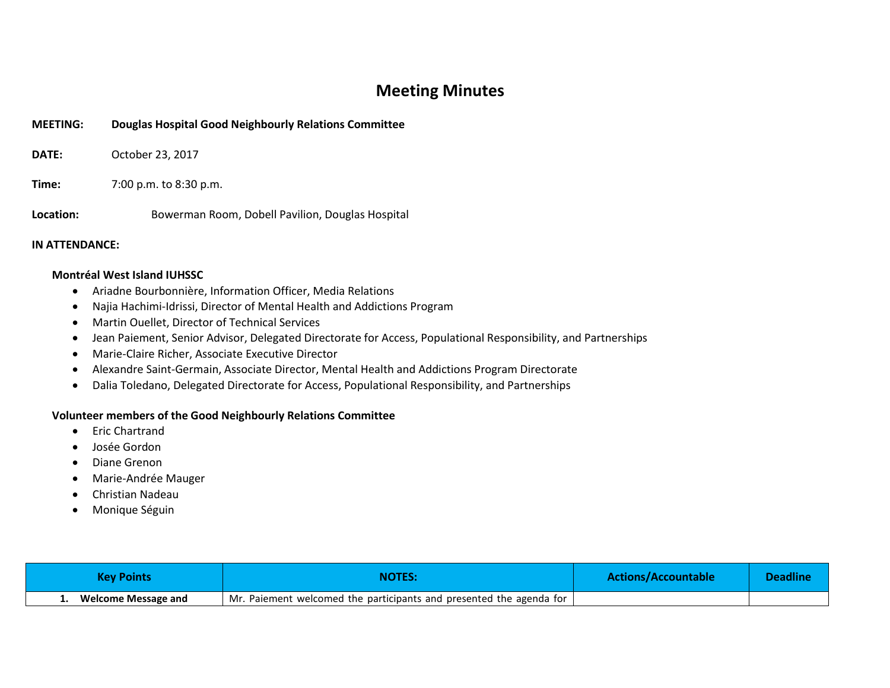## **Meeting Minutes**

| <b>MEETING:</b> | Douglas Hospital Good Neighbourly Relations Committee |
|-----------------|-------------------------------------------------------|
| <b>DATE:</b>    | October 23, 2017                                      |
| Time:           | 7:00 p.m. to 8:30 p.m.                                |
| Location:       | Bowerman Room, Dobell Pavilion, Douglas Hospital      |

## **IN ATTENDANCE:**

## **Montréal West Island IUHSSC**

- Ariadne Bourbonnière, Information Officer, Media Relations
- Najia Hachimi-Idrissi, Director of Mental Health and Addictions Program
- Martin Ouellet, Director of Technical Services
- Jean Paiement, Senior Advisor, Delegated Directorate for Access, Populational Responsibility, and Partnerships
- Marie-Claire Richer, Associate Executive Director
- Alexandre Saint-Germain, Associate Director, Mental Health and Addictions Program Directorate
- Dalia Toledano, Delegated Directorate for Access, Populational Responsibility, and Partnerships

## **Volunteer members of the Good Neighbourly Relations Committee**

- Eric Chartrand
- Josée Gordon
- Diane Grenon
- Marie-Andrée Mauger
- Christian Nadeau
- Monique Séguin

| Kev Points                 | NOTES:                                                                             | Actions/Accountable | <b>Deadline</b> |
|----------------------------|------------------------------------------------------------------------------------|---------------------|-----------------|
| <b>Welcome Message and</b> | <sup>1</sup> Mr. Paiement welcomed the participants and presented the agenda for 1 |                     |                 |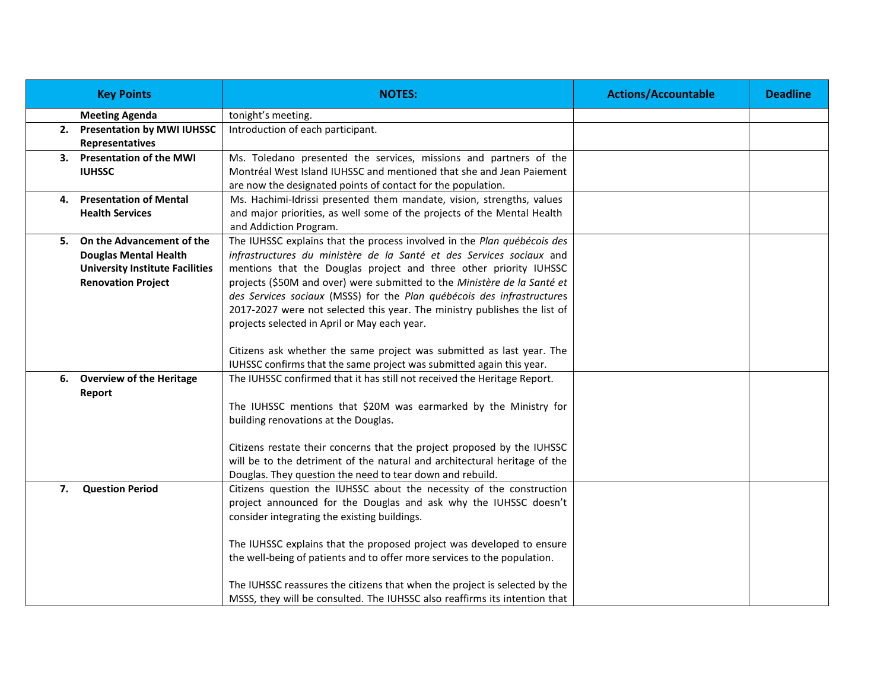|    | <b>Key Points</b>                      | <b>NOTES:</b>                                                                                                                                    | <b>Actions/Accountable</b> | <b>Deadline</b> |
|----|----------------------------------------|--------------------------------------------------------------------------------------------------------------------------------------------------|----------------------------|-----------------|
|    | <b>Meeting Agenda</b>                  | tonight's meeting.                                                                                                                               |                            |                 |
|    | 2. Presentation by MWI IUHSSC          | Introduction of each participant.                                                                                                                |                            |                 |
|    | Representatives                        |                                                                                                                                                  |                            |                 |
|    | 3. Presentation of the MWI             | Ms. Toledano presented the services, missions and partners of the                                                                                |                            |                 |
|    | <b>IUHSSC</b>                          | Montréal West Island IUHSSC and mentioned that she and Jean Paiement                                                                             |                            |                 |
|    |                                        | are now the designated points of contact for the population.                                                                                     |                            |                 |
|    | 4. Presentation of Mental              | Ms. Hachimi-Idrissi presented them mandate, vision, strengths, values                                                                            |                            |                 |
|    | <b>Health Services</b>                 | and major priorities, as well some of the projects of the Mental Health                                                                          |                            |                 |
|    |                                        | and Addiction Program.                                                                                                                           |                            |                 |
|    | 5. On the Advancement of the           | The IUHSSC explains that the process involved in the Plan québécois des                                                                          |                            |                 |
|    | <b>Douglas Mental Health</b>           | infrastructures du ministère de la Santé et des Services sociaux and                                                                             |                            |                 |
|    | <b>University Institute Facilities</b> | mentions that the Douglas project and three other priority IUHSSC                                                                                |                            |                 |
|    | <b>Renovation Project</b>              | projects (\$50M and over) were submitted to the Ministère de la Santé et                                                                         |                            |                 |
|    |                                        | des Services sociaux (MSSS) for the Plan québécois des infrastructures                                                                           |                            |                 |
|    |                                        | 2017-2027 were not selected this year. The ministry publishes the list of                                                                        |                            |                 |
|    |                                        | projects selected in April or May each year.                                                                                                     |                            |                 |
|    |                                        |                                                                                                                                                  |                            |                 |
|    |                                        | Citizens ask whether the same project was submitted as last year. The                                                                            |                            |                 |
|    | 6. Overview of the Heritage            | IUHSSC confirms that the same project was submitted again this year.<br>The IUHSSC confirmed that it has still not received the Heritage Report. |                            |                 |
|    |                                        |                                                                                                                                                  |                            |                 |
|    | Report                                 | The IUHSSC mentions that \$20M was earmarked by the Ministry for                                                                                 |                            |                 |
|    |                                        | building renovations at the Douglas.                                                                                                             |                            |                 |
|    |                                        |                                                                                                                                                  |                            |                 |
|    |                                        | Citizens restate their concerns that the project proposed by the IUHSSC                                                                          |                            |                 |
|    |                                        | will be to the detriment of the natural and architectural heritage of the                                                                        |                            |                 |
|    |                                        | Douglas. They question the need to tear down and rebuild.                                                                                        |                            |                 |
| 7. | <b>Question Period</b>                 | Citizens question the IUHSSC about the necessity of the construction                                                                             |                            |                 |
|    |                                        | project announced for the Douglas and ask why the IUHSSC doesn't                                                                                 |                            |                 |
|    |                                        | consider integrating the existing buildings.                                                                                                     |                            |                 |
|    |                                        |                                                                                                                                                  |                            |                 |
|    |                                        | The IUHSSC explains that the proposed project was developed to ensure                                                                            |                            |                 |
|    |                                        | the well-being of patients and to offer more services to the population.                                                                         |                            |                 |
|    |                                        |                                                                                                                                                  |                            |                 |
|    |                                        | The IUHSSC reassures the citizens that when the project is selected by the                                                                       |                            |                 |
|    |                                        | MSSS, they will be consulted. The IUHSSC also reaffirms its intention that                                                                       |                            |                 |